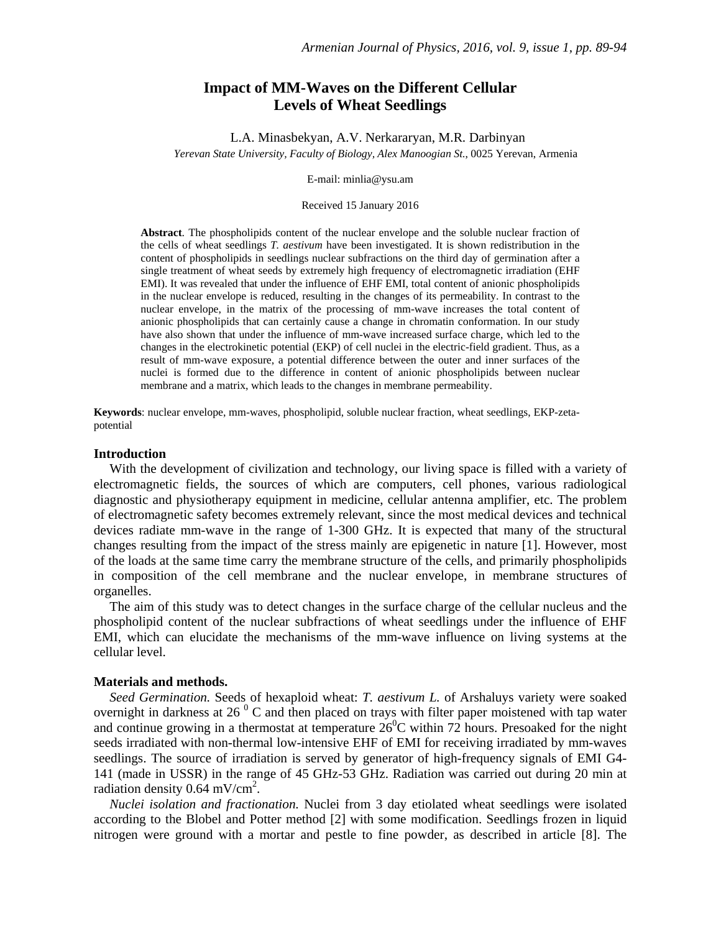# **Impact of MM-Waves on the Different Cellular Levels of Wheat Seedlings**

L.A. Minasbekyan, A.V. Nerkararyan, M.R. Darbinyan *Yerevan State University, Faculty of Biology, Alex Manoogian St.*, 0025 Yerevan, Armenia

E-mail: minlia@ysu.am

#### Received 15 January 2016

**Abstract**. The phospholipids content of the nuclear envelope and the soluble nuclear fraction of the cells of wheat seedlings *T. aestivum* have been investigated. It is shown redistribution in the content of phospholipids in seedlings nuclear subfractions on the third day of germination after a single treatment of wheat seeds by extremely high frequency of electromagnetic irradiation (EHF EMI). It was revealed that under the influence of EHF EMI, total content of anionic phospholipids in the nuclear envelope is reduced, resulting in the changes of its permeability. In contrast to the nuclear envelope, in the matrix of the processing of mm-wave increases the total content of anionic phospholipids that can certainly cause a change in chromatin conformation. In our study have also shown that under the influence of mm-wave increased surface charge, which led to the changes in the electrokinetic potential (EKP) of cell nuclei in the electric-field gradient. Thus, as a result of mm-wave exposure, a potential difference between the outer and inner surfaces of the nuclei is formed due to the difference in content of anionic phospholipids between nuclear membrane and a matrix, which leads to the changes in membrane permeability.

**Keywords**: nuclear envelope, mm-waves, phospholipid, soluble nuclear fraction, wheat seedlings, EKP-zetapotential

#### **Introduction**

With the development of civilization and technology, our living space is filled with a variety of electromagnetic fields, the sources of which are computers, cell phones, various radiological diagnostic and physiotherapy equipment in medicine, cellular antenna amplifier, etc. The problem of electromagnetic safety becomes extremely relevant, since the most medical devices and technical devices radiate mm-wave in the range of 1-300 GHz. It is expected that many of the structural changes resulting from the impact of the stress mainly are epigenetic in nature [1]. However, most of the loads at the same time carry the membrane structure of the cells, and primarily phospholipids in composition of the cell membrane and the nuclear envelope, in membrane structures of organelles.

The aim of this study was to detect changes in the surface charge of the cellular nucleus and the phospholipid content of the nuclear subfractions of wheat seedlings under the influence of EHF EMI, which can elucidate the mechanisms of the mm-wave influence on living systems at the cellular level.

### **Materials and methods.**

*Seed Germination.* Seeds of hexaploid wheat: *T. aestivum L.* of Arshaluys variety were soaked overnight in darkness at 26 $^{0}$  C and then placed on trays with filter paper moistened with tap water and continue growing in a thermostat at temperature  $26^{\circ}$ C within 72 hours. Presoaked for the night seeds irradiated with non-thermal low-intensive EHF of EMI for receiving irradiated by mm-waves seedlings. The source of irradiation is served by generator of high-frequency signals of EMI G4- 141 (made in USSR) in the range of 45 GHz-53 GHz. Radiation was carried out during 20 min at radiation density 0.64 mV/cm<sup>2</sup>.

*Nuclei isolation and fractionation.* Nuclei from 3 day etiolated wheat seedlings were isolated according to the Blobel and Potter method [2] with some modification. Seedlings frozen in liquid nitrogen were ground with a mortar and pestle to fine powder, as described in article [8]. The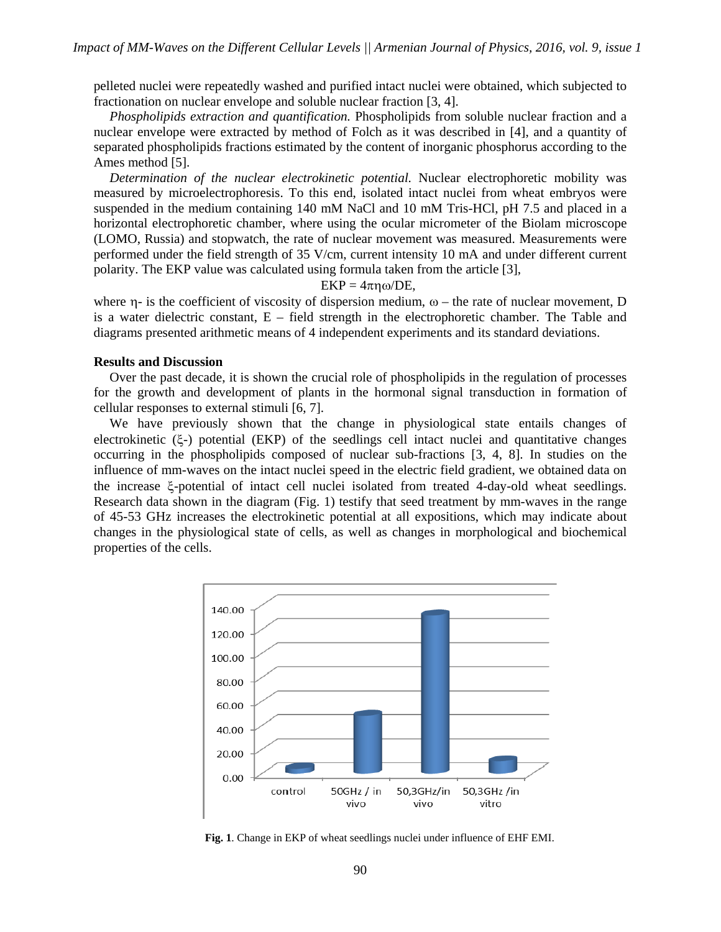pelleted nuclei were repeatedly washed and purified intact nuclei were obtained, which subjected to fractionation on nuclear envelope and soluble nuclear fraction [3, 4].

*Phospholipids extraction and quantification.* Phospholipids from soluble nuclear fraction and a nuclear envelope were extracted by method of Folch as it was described in [4], and a quantity of separated phospholipids fractions estimated by the content of inorganic phosphorus according to the Ames method [5].

*Determination of the nuclear electrokinetic potential.* Nuclear electrophoretic mobility was measured by microelectrophoresis. To this end, isolated intact nuclei from wheat embryos were suspended in the medium containing 140 mM NaCl and 10 mM Tris-HCl, pH 7.5 and placed in a horizontal electrophoretic chamber, where using the ocular micrometer of the Biolam microscope (LOMO, Russia) and stopwatch, the rate of nuclear movement was measured. Measurements were performed under the field strength of 35 V/cm, current intensity 10 mA and under different current polarity. The EKP value was calculated using formula taken from the article [3],

### $EKP = 4\pi\eta\omega/DE$ ,

where  $\eta$ - is the coefficient of viscosity of dispersion medium,  $\omega$  – the rate of nuclear movement, D is a water dielectric constant, E – field strength in the electrophoretic chamber. The Table and diagrams presented arithmetic means of 4 independent experiments and its standard deviations.

## **Results and Discussion**

Over the past decade, it is shown the crucial role of phospholipids in the regulation of processes for the growth and development of plants in the hormonal signal transduction in formation of cellular responses to external stimuli [6, 7].

We have previously shown that the change in physiological state entails changes of electrokinetic  $(\xi)$  potential (EKP) of the seedlings cell intact nuclei and quantitative changes occurring in the phospholipids composed of nuclear sub-fractions [3, 4, 8]. In studies on the influence of mm-waves on the intact nuclei speed in the electric field gradient, we obtained data on the increase  $\xi$ -potential of intact cell nuclei isolated from treated 4-day-old wheat seedlings. Research data shown in the diagram (Fig. 1) testify that seed treatment by mm-waves in the range of 45-53 GHz increases the electrokinetic potential at all expositions, which may indicate about changes in the physiological state of cells, as well as changes in morphological and biochemical properties of the cells.



**Fig. 1**. Change in EKP of wheat seedlings nuclei under influence of EHF EMI.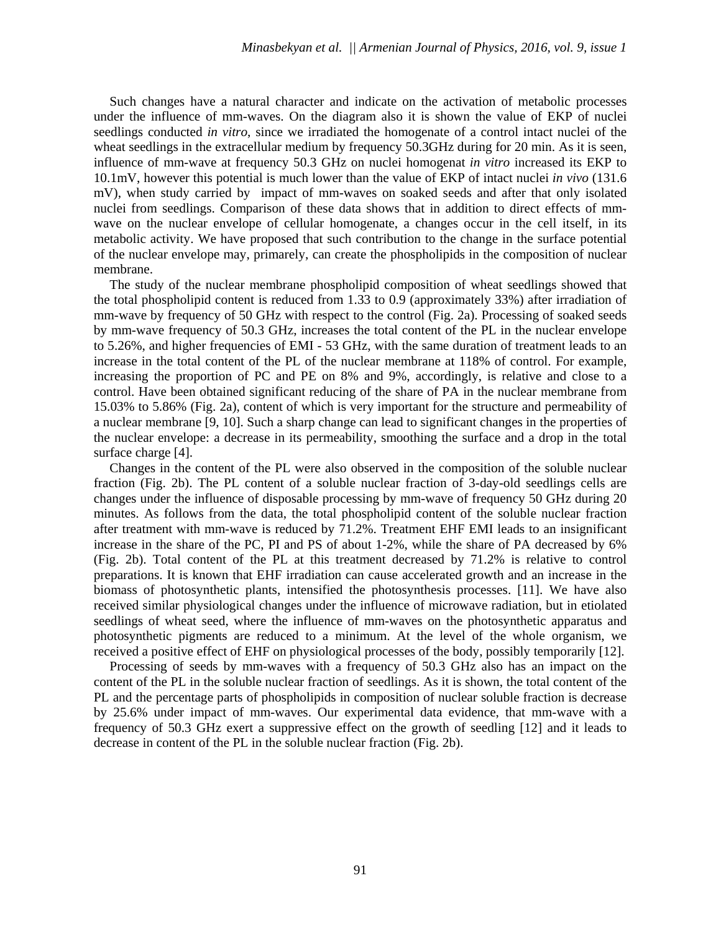Such changes have a natural character and indicate on the activation of metabolic processes under the influence of mm-waves. On the diagram also it is shown the value of EKP of nuclei seedlings conducted *in vitro*, since we irradiated the homogenate of a control intact nuclei of the wheat seedlings in the extracellular medium by frequency 50.3GHz during for 20 min. As it is seen, influence of mm-wave at frequency 50.3 GHz on nuclei homogenat *in vitro* increased its EKP to 10.1mV, however this potential is much lower than the value of EKP of intact nuclei *in vivo* (131.6 mV), when study carried by impact of mm-waves on soaked seeds and after that only isolated nuclei from seedlings. Comparison of these data shows that in addition to direct effects of mmwave on the nuclear envelope of cellular homogenate, a changes occur in the cell itself, in its metabolic activity. We have proposed that such contribution to the change in the surface potential of the nuclear envelope may, primarely, can create the phospholipids in the composition of nuclear membrane.

The study of the nuclear membrane phospholipid composition of wheat seedlings showed that the total phospholipid content is reduced from 1.33 to 0.9 (approximately 33%) after irradiation of mm-wave by frequency of 50 GHz with respect to the control (Fig. 2a). Processing of soaked seeds by mm-wave frequency of 50.3 GHz, increases the total content of the PL in the nuclear envelope to 5.26%, and higher frequencies of EMI - 53 GHz, with the same duration of treatment leads to an increase in the total content of the PL of the nuclear membrane at 118% of control. For example, increasing the proportion of PC and PE on 8% and 9%, accordingly, is relative and close to a control. Have been obtained significant reducing of the share of PA in the nuclear membrane from 15.03% to 5.86% (Fig. 2a), content of which is very important for the structure and permeability of a nuclear membrane [9, 10]. Such a sharp change can lead to significant changes in the properties of the nuclear envelope: a decrease in its permeability, smoothing the surface and a drop in the total surface charge [4].

Changes in the content of the PL were also observed in the composition of the soluble nuclear fraction (Fig. 2b). The PL content of a soluble nuclear fraction of 3-day-old seedlings cells are changes under the influence of disposable processing by mm-wave of frequency 50 GHz during 20 minutes. As follows from the data, the total phospholipid content of the soluble nuclear fraction after treatment with mm-wave is reduced by 71.2%. Treatment EHF EMI leads to an insignificant increase in the share of the PC, PI and PS of about 1-2%, while the share of PA decreased by 6% (Fig. 2b). Total content of the PL at this treatment decreased by 71.2% is relative to control preparations. It is known that EHF irradiation can cause accelerated growth and an increase in the biomass of photosynthetic plants, intensified the photosynthesis processes. [11]. We have also received similar physiological changes under the influence of microwave radiation, but in etiolated seedlings of wheat seed, where the influence of mm-waves on the photosynthetic apparatus and photosynthetic pigments are reduced to a minimum. At the level of the whole organism, we received a positive effect of EHF on physiological processes of the body, possibly temporarily [12].

Processing of seeds by mm-waves with a frequency of 50.3 GHz also has an impact on the content of the PL in the soluble nuclear fraction of seedlings. As it is shown, the total content of the PL and the percentage parts of phospholipids in composition of nuclear soluble fraction is decrease by 25.6% under impact of mm-waves. Our experimental data evidence, that mm-wave with a frequency of 50.3 GHz exert a suppressive effect on the growth of seedling [12] and it leads to decrease in content of the PL in the soluble nuclear fraction (Fig. 2b).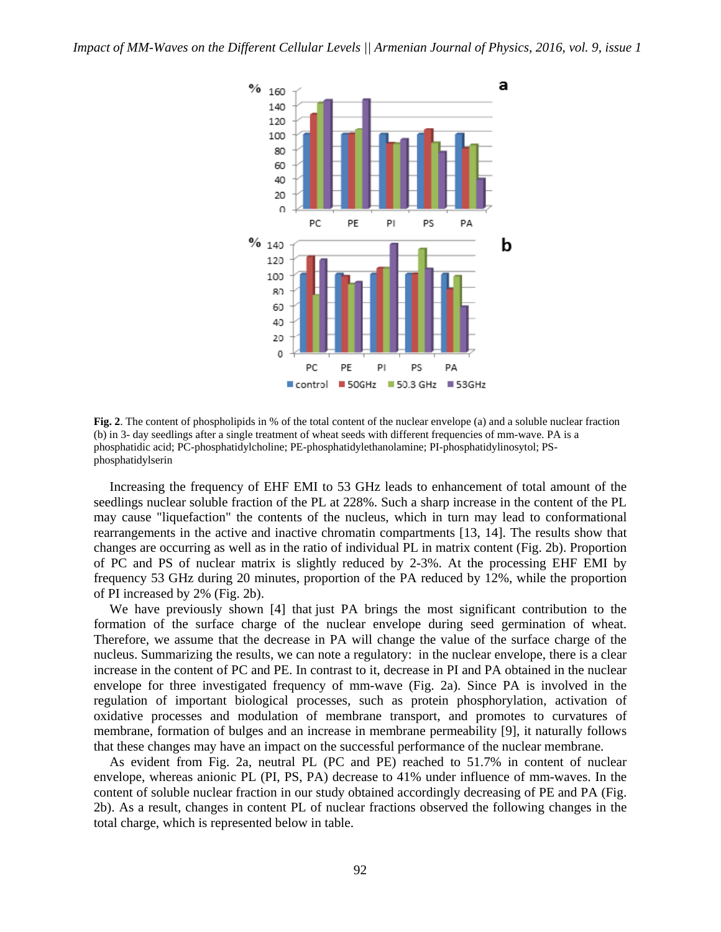

**Fig. 2**. The content of phospholipids in % of the total content of the nuclear envelope (a) and a soluble nuclear fraction (b) in 3- day seedlings after a single treatment of wheat seeds with different frequencies of mm-wave. PA is a phosphatidic acid; PC-phosphatidylcholine; PE-phosphatidylethanolamine; PI-phosphatidylinosytol; PSphosphatidylserin

Increasing the frequency of EHF EMI to 53 GHz leads to enhancement of total amount of the seedlings nuclear soluble fraction of the PL at 228%. Such a sharp increase in the content of the PL may cause "liquefaction" the contents of the nucleus, which in turn may lead to conformational rearrangements in the active and inactive chromatin compartments [13, 14]. The results show that changes are occurring as well as in the ratio of individual PL in matrix content (Fig. 2b). Proportion of PC and PS of nuclear matrix is slightly reduced by 2-3%. At the processing EHF EMI by frequency 53 GHz during 20 minutes, proportion of the PA reduced by 12%, while the proportion of PI increased by 2% (Fig. 2b).

We have previously shown [4] that just PA brings the most significant contribution to the formation of the surface charge of the nuclear envelope during seed germination of wheat. Therefore, we assume that the decrease in PA will change the value of the surface charge of the nucleus. Summarizing the results, we can note a regulatory: in the nuclear envelope, there is a clear increase in the content of PC and PE. In contrast to it, decrease in PI and PA obtained in the nuclear envelope for three investigated frequency of mm-wave (Fig. 2a). Since PA is involved in the regulation of important biological processes, such as protein phosphorylation, activation of oxidative processes and modulation of membrane transport, and promotes to curvatures of membrane, formation of bulges and an increase in membrane permeability [9], it naturally follows that these changes may have an impact on the successful performance of the nuclear membrane.

As evident from Fig. 2a, neutral PL (PC and PE) reached to 51.7% in content of nuclear envelope, whereas anionic PL (PI, PS, PA) decrease to 41% under influence of mm-waves. In the content of soluble nuclear fraction in our study obtained accordingly decreasing of PE and PA (Fig. 2b). As a result, changes in content PL of nuclear fractions observed the following changes in the total charge, which is represented below in table.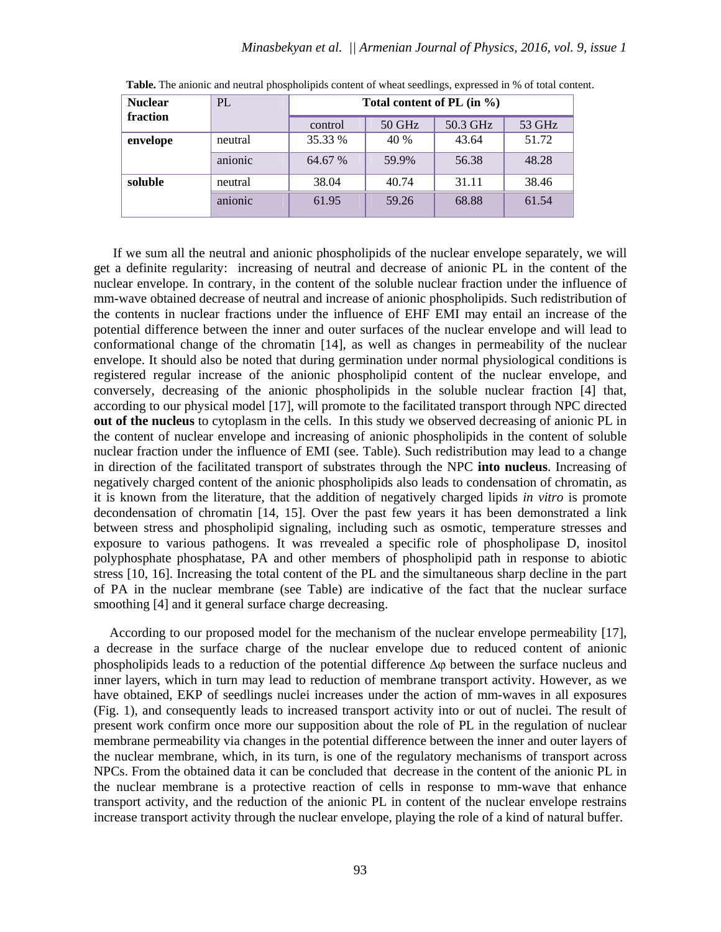| <b>Nuclear</b> | PL      | Total content of PL $(in \%)$ |        |          |        |
|----------------|---------|-------------------------------|--------|----------|--------|
| fraction       |         | control                       | 50 GHz | 50.3 GHz | 53 GHz |
| envelope       | neutral | 35.33 %                       | 40 %   | 43.64    | 51.72  |
|                | anionic | 64.67 %                       | 59.9%  | 56.38    | 48.28  |
| soluble        | neutral | 38.04                         | 40.74  | 31.11    | 38.46  |
|                | anionic | 61.95                         | 59.26  | 68.88    | 61.54  |

**Table.** The anionic and neutral phospholipids content of wheat seedlings, expressed in % of total content.

 If we sum all the neutral and anionic phospholipids of the nuclear envelope separately, we will get a definite regularity: increasing of neutral and decrease of anionic PL in the content of the nuclear envelope. In contrary, in the content of the soluble nuclear fraction under the influence of mm-wave obtained decrease of neutral and increase of anionic phospholipids. Such redistribution of the contents in nuclear fractions under the influence of EHF EMI may entail an increase of the potential difference between the inner and outer surfaces of the nuclear envelope and will lead to conformational change of the chromatin [14], as well as changes in permeability of the nuclear envelope. It should also be noted that during germination under normal physiological conditions is registered regular increase of the anionic phospholipid content of the nuclear envelope, and conversely, decreasing of the anionic phospholipids in the soluble nuclear fraction [4] that, according to our physical model [17], will promote to the facilitated transport through NPC directed **out of the nucleus** to cytoplasm in the cells. In this study we observed decreasing of anionic PL in the content of nuclear envelope and increasing of anionic phospholipids in the content of soluble nuclear fraction under the influence of EMI (see. Table). Such redistribution may lead to a change in direction of the facilitated transport of substrates through the NPC **into nucleus**. Increasing of negatively charged content of the anionic phospholipids also leads to condensation of chromatin, as it is known from the literature, that the addition of negatively charged lipids *in vitro* is promote decondensation of chromatin [14, 15]. Over the past few years it has been demonstrated a link between stress and phospholipid signaling, including such as osmotic, temperature stresses and exposure to various pathogens. It was rrevealed a specific role of phospholipase D, inositol polyphosphate phosphatase, PA and other members of phospholipid path in response to abiotic stress [10, 16]. Increasing the total content of the PL and the simultaneous sharp decline in the part of PA in the nuclear membrane (see Table) are indicative of the fact that the nuclear surface smoothing [4] and it general surface charge decreasing.

According to our proposed model for the mechanism of the nuclear envelope permeability [17], a decrease in the surface charge of the nuclear envelope due to reduced content of anionic phospholipids leads to a reduction of the potential difference  $\Delta \varphi$  between the surface nucleus and inner layers, which in turn may lead to reduction of membrane transport activity. However, as we have obtained, EKP of seedlings nuclei increases under the action of mm-waves in all exposures (Fig. 1), and consequently leads to increased transport activity into or out of nuclei. The result of present work confirm once more our supposition about the role of PL in the regulation of nuclear membrane permeability via changes in the potential difference between the inner and outer layers of the nuclear membrane, which, in its turn, is one of the regulatory mechanisms of transport across NPCs. From the obtained data it can be concluded that decrease in the content of the anionic PL in the nuclear membrane is a protective reaction of cells in response to mm-wave that enhance transport activity, and the reduction of the anionic PL in content of the nuclear envelope restrains increase transport activity through the nuclear envelope, playing the role of a kind of natural buffer.